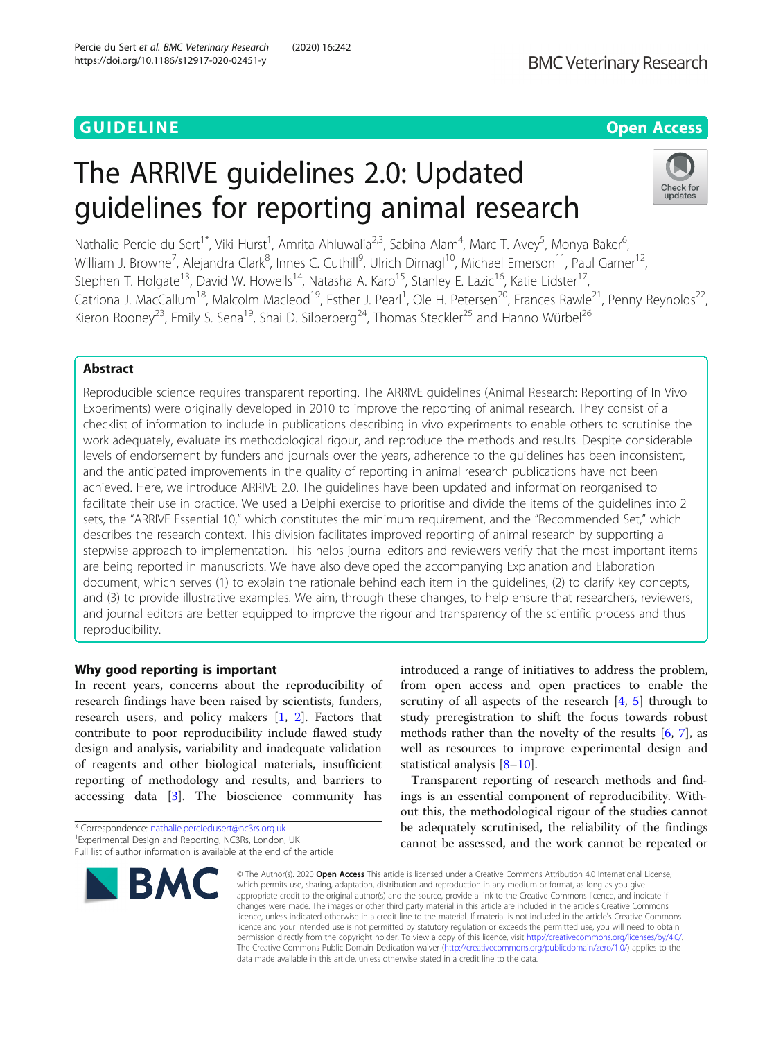# GUIDELINE CONTRACT CONTRACT CONTRACT CONTRACT CONTRACT CONTRACT CONTRACT CONTRACT CONTRACT CONTRACT CONTRACT CO

# The ARRIVE guidelines 2.0: Updated guidelines for reporting animal research



Nathalie Percie du Sert<sup>1\*</sup>, Viki Hurst<sup>1</sup>, Amrita Ahluwalia<sup>2,3</sup>, Sabina Alam<sup>4</sup>, Marc T. Avey<sup>5</sup>, Monya Baker<sup>6</sup> , William J. Browne<sup>7</sup>, Alejandra Clark<sup>8</sup>, Innes C. Cuthill<sup>9</sup>, Ulrich Dirnagl<sup>10</sup>, Michael Emerson<sup>11</sup>, Paul Garner<sup>12</sup>, Stephen T. Holgate<sup>13</sup>, David W. Howells<sup>14</sup>, Natasha A. Karp<sup>15</sup>, Stanley E. Lazic<sup>16</sup>, Katie Lidster<sup>17</sup>, Catriona J. MacCallum<sup>18</sup>, Malcolm Macleod<sup>19</sup>, Esther J. Pearl<sup>1</sup>, Ole H. Petersen<sup>20</sup>, Frances Rawle<sup>21</sup>, Penny Reynolds<sup>22</sup>, Kieron Rooney<sup>23</sup>, Emily S. Sena<sup>19</sup>, Shai D. Silberberg<sup>24</sup>, Thomas Steckler<sup>25</sup> and Hanno Würbel<sup>26</sup>

# Abstract

Reproducible science requires transparent reporting. The ARRIVE guidelines (Animal Research: Reporting of In Vivo Experiments) were originally developed in 2010 to improve the reporting of animal research. They consist of a checklist of information to include in publications describing in vivo experiments to enable others to scrutinise the work adequately, evaluate its methodological rigour, and reproduce the methods and results. Despite considerable levels of endorsement by funders and journals over the years, adherence to the guidelines has been inconsistent, and the anticipated improvements in the quality of reporting in animal research publications have not been achieved. Here, we introduce ARRIVE 2.0. The guidelines have been updated and information reorganised to facilitate their use in practice. We used a Delphi exercise to prioritise and divide the items of the guidelines into 2 sets, the "ARRIVE Essential 10," which constitutes the minimum requirement, and the "Recommended Set," which describes the research context. This division facilitates improved reporting of animal research by supporting a stepwise approach to implementation. This helps journal editors and reviewers verify that the most important items are being reported in manuscripts. We have also developed the accompanying Explanation and Elaboration document, which serves (1) to explain the rationale behind each item in the guidelines, (2) to clarify key concepts, and (3) to provide illustrative examples. We aim, through these changes, to help ensure that researchers, reviewers, and journal editors are better equipped to improve the rigour and transparency of the scientific process and thus reproducibility.

# Why good reporting is important

In recent years, concerns about the reproducibility of research findings have been raised by scientists, funders, research users, and policy makers [[1,](#page-5-0) [2](#page-5-0)]. Factors that contribute to poor reproducibility include flawed study design and analysis, variability and inadequate validation of reagents and other biological materials, insufficient reporting of methodology and results, and barriers to accessing data [[3](#page-5-0)]. The bioscience community has

<sup>\*</sup> Correspondence: [nathalie.perciedusert@nc3rs.org.uk](mailto:nathalie.perciedusert@nc3rs.org.uk) <sup>1</sup> <sup>1</sup> Experimental Design and Reporting, NC3Rs, London, UK Full list of author information is available at the end of the article



introduced a range of initiatives to address the problem, from open access and open practices to enable the scrutiny of all aspects of the research [\[4](#page-5-0), [5](#page-5-0)] through to study preregistration to shift the focus towards robust methods rather than the novelty of the results  $[6, 7]$  $[6, 7]$  $[6, 7]$  $[6, 7]$  $[6, 7]$ , as well as resources to improve experimental design and statistical analysis [[8](#page-5-0)–[10\]](#page-5-0).

Transparent reporting of research methods and findings is an essential component of reproducibility. Without this, the methodological rigour of the studies cannot be adequately scrutinised, the reliability of the findings cannot be assessed, and the work cannot be repeated or

© The Author(s), 2020 **Open Access** This article is licensed under a Creative Commons Attribution 4.0 International License, which permits use, sharing, adaptation, distribution and reproduction in any medium or format, as long as you give appropriate credit to the original author(s) and the source, provide a link to the Creative Commons licence, and indicate if changes were made. The images or other third party material in this article are included in the article's Creative Commons licence, unless indicated otherwise in a credit line to the material. If material is not included in the article's Creative Commons licence and your intended use is not permitted by statutory regulation or exceeds the permitted use, you will need to obtain permission directly from the copyright holder. To view a copy of this licence, visit [http://creativecommons.org/licenses/by/4.0/.](http://creativecommons.org/licenses/by/4.0/) The Creative Commons Public Domain Dedication waiver [\(http://creativecommons.org/publicdomain/zero/1.0/](http://creativecommons.org/publicdomain/zero/1.0/)) applies to the data made available in this article, unless otherwise stated in a credit line to the data.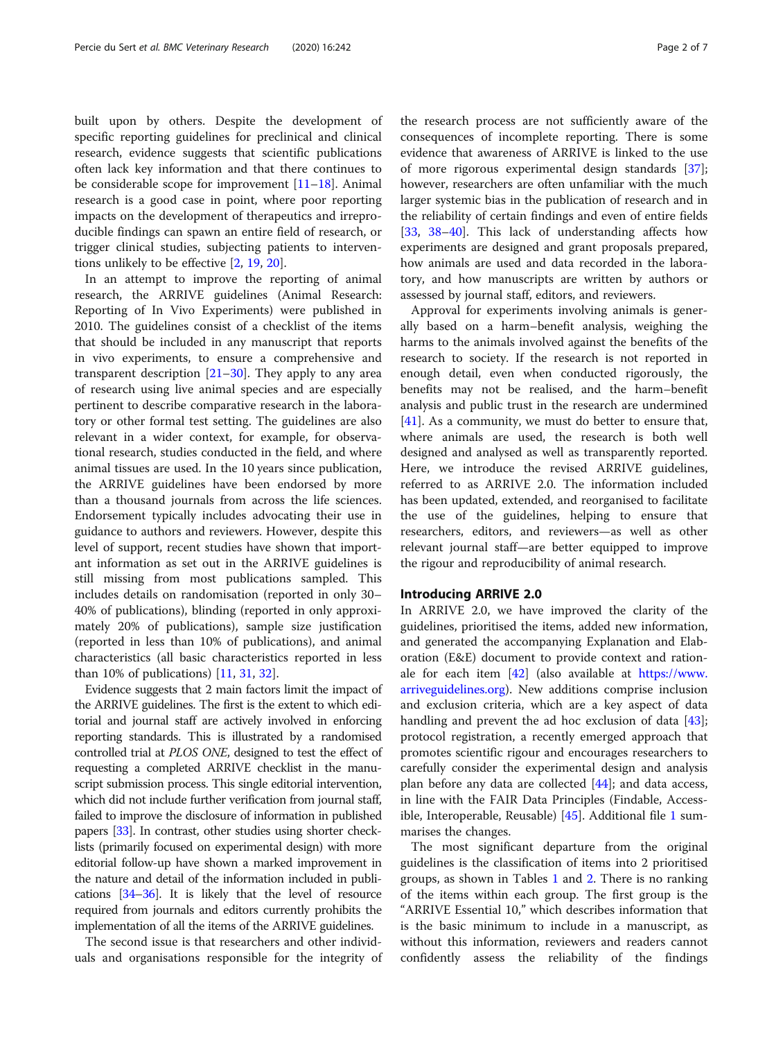built upon by others. Despite the development of specific reporting guidelines for preclinical and clinical research, evidence suggests that scientific publications often lack key information and that there continues to be considerable scope for improvement  $[11-18]$  $[11-18]$  $[11-18]$ . Animal research is a good case in point, where poor reporting impacts on the development of therapeutics and irreproducible findings can spawn an entire field of research, or trigger clinical studies, subjecting patients to interventions unlikely to be effective [\[2,](#page-5-0) [19,](#page-5-0) [20\]](#page-5-0).

In an attempt to improve the reporting of animal research, the ARRIVE guidelines (Animal Research: Reporting of In Vivo Experiments) were published in 2010. The guidelines consist of a checklist of the items that should be included in any manuscript that reports in vivo experiments, to ensure a comprehensive and transparent description  $[21–30]$  $[21–30]$  $[21–30]$  $[21–30]$ . They apply to any area of research using live animal species and are especially pertinent to describe comparative research in the laboratory or other formal test setting. The guidelines are also relevant in a wider context, for example, for observational research, studies conducted in the field, and where animal tissues are used. In the 10 years since publication, the ARRIVE guidelines have been endorsed by more than a thousand journals from across the life sciences. Endorsement typically includes advocating their use in guidance to authors and reviewers. However, despite this level of support, recent studies have shown that important information as set out in the ARRIVE guidelines is still missing from most publications sampled. This includes details on randomisation (reported in only 30– 40% of publications), blinding (reported in only approximately 20% of publications), sample size justification (reported in less than 10% of publications), and animal characteristics (all basic characteristics reported in less than 10% of publications) [\[11](#page-5-0), [31](#page-6-0), [32\]](#page-6-0).

Evidence suggests that 2 main factors limit the impact of the ARRIVE guidelines. The first is the extent to which editorial and journal staff are actively involved in enforcing reporting standards. This is illustrated by a randomised controlled trial at PLOS ONE, designed to test the effect of requesting a completed ARRIVE checklist in the manuscript submission process. This single editorial intervention, which did not include further verification from journal staff, failed to improve the disclosure of information in published papers [[33](#page-6-0)]. In contrast, other studies using shorter checklists (primarily focused on experimental design) with more editorial follow-up have shown a marked improvement in the nature and detail of the information included in publications [\[34](#page-6-0)–[36\]](#page-6-0). It is likely that the level of resource required from journals and editors currently prohibits the implementation of all the items of the ARRIVE guidelines.

The second issue is that researchers and other individuals and organisations responsible for the integrity of

the research process are not sufficiently aware of the consequences of incomplete reporting. There is some evidence that awareness of ARRIVE is linked to the use of more rigorous experimental design standards [\[37](#page-6-0)]; however, researchers are often unfamiliar with the much larger systemic bias in the publication of research and in the reliability of certain findings and even of entire fields [[33,](#page-6-0) [38](#page-6-0)–[40\]](#page-6-0). This lack of understanding affects how experiments are designed and grant proposals prepared, how animals are used and data recorded in the laboratory, and how manuscripts are written by authors or assessed by journal staff, editors, and reviewers.

Approval for experiments involving animals is generally based on a harm–benefit analysis, weighing the harms to the animals involved against the benefits of the research to society. If the research is not reported in enough detail, even when conducted rigorously, the benefits may not be realised, and the harm–benefit analysis and public trust in the research are undermined [[41\]](#page-6-0). As a community, we must do better to ensure that, where animals are used, the research is both well designed and analysed as well as transparently reported. Here, we introduce the revised ARRIVE guidelines, referred to as ARRIVE 2.0. The information included has been updated, extended, and reorganised to facilitate the use of the guidelines, helping to ensure that researchers, editors, and reviewers—as well as other relevant journal staff—are better equipped to improve the rigour and reproducibility of animal research.

# Introducing ARRIVE 2.0

In ARRIVE 2.0, we have improved the clarity of the guidelines, prioritised the items, added new information, and generated the accompanying Explanation and Elaboration (E&E) document to provide context and rationale for each item [[42](#page-6-0)] (also available at [https://www.](https://www.arriveguidelines.org) [arriveguidelines.org](https://www.arriveguidelines.org)). New additions comprise inclusion and exclusion criteria, which are a key aspect of data handling and prevent the ad hoc exclusion of data [\[43](#page-6-0)]; protocol registration, a recently emerged approach that promotes scientific rigour and encourages researchers to carefully consider the experimental design and analysis plan before any data are collected [[44\]](#page-6-0); and data access, in line with the FAIR Data Principles (Findable, Accessible, Interoperable, Reusable) [[45\]](#page-6-0). Additional file [1](#page-4-0) summarises the changes.

The most significant departure from the original guidelines is the classification of items into 2 prioritised groups, as shown in Tables [1](#page-2-0) and [2](#page-3-0). There is no ranking of the items within each group. The first group is the "ARRIVE Essential 10," which describes information that is the basic minimum to include in a manuscript, as without this information, reviewers and readers cannot confidently assess the reliability of the findings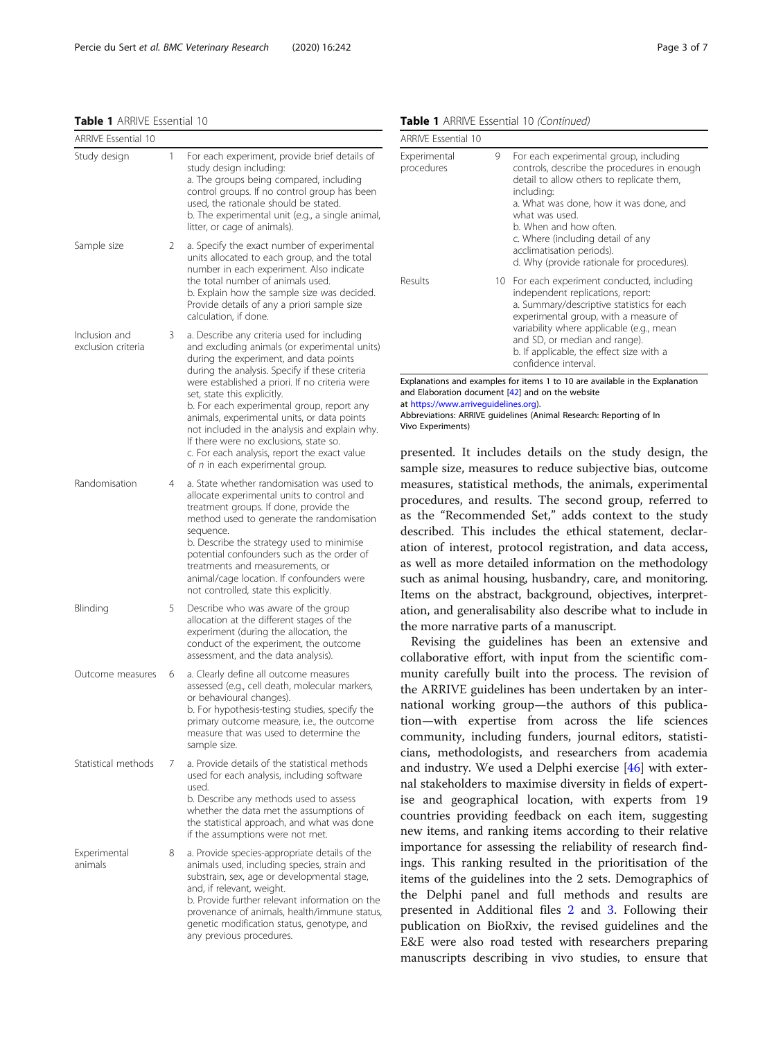<span id="page-2-0"></span>Table 1 ARRIVE Essential 10

| <b>ARRIVE Essential 10</b>          |   |                                                                                                                                                                                                                                                                                                                                                                                                                                                                                                                                                       |
|-------------------------------------|---|-------------------------------------------------------------------------------------------------------------------------------------------------------------------------------------------------------------------------------------------------------------------------------------------------------------------------------------------------------------------------------------------------------------------------------------------------------------------------------------------------------------------------------------------------------|
| Study design                        | 1 | For each experiment, provide brief details of<br>study design including:<br>a. The groups being compared, including<br>control groups. If no control group has been<br>used, the rationale should be stated.<br>b. The experimental unit (e.g., a single animal,<br>litter, or cage of animals).                                                                                                                                                                                                                                                      |
| Sample size                         | 2 | a. Specify the exact number of experimental<br>units allocated to each group, and the total<br>number in each experiment. Also indicate<br>the total number of animals used.<br>b. Explain how the sample size was decided.<br>Provide details of any a priori sample size<br>calculation, if done.                                                                                                                                                                                                                                                   |
| Inclusion and<br>exclusion criteria | 3 | a. Describe any criteria used for including<br>and excluding animals (or experimental units)<br>during the experiment, and data points<br>during the analysis. Specify if these criteria<br>were established a priori. If no criteria were<br>set, state this explicitly.<br>b. For each experimental group, report any<br>animals, experimental units, or data points<br>not included in the analysis and explain why.<br>If there were no exclusions, state so.<br>c. For each analysis, report the exact value<br>of n in each experimental group. |
| Randomisation                       | 4 | a. State whether randomisation was used to<br>allocate experimental units to control and<br>treatment groups. If done, provide the<br>method used to generate the randomisation<br>sequence.<br>b. Describe the strategy used to minimise<br>potential confounders such as the order of<br>treatments and measurements, or<br>animal/cage location. If confounders were<br>not controlled, state this explicitly.                                                                                                                                     |
| Blinding                            | 5 | Describe who was aware of the group<br>allocation at the different stages of the<br>experiment (during the allocation, the<br>conduct of the experiment, the outcome<br>assessment, and the data analysis).                                                                                                                                                                                                                                                                                                                                           |
| Outcome measures                    | 6 | a. Clearly define all outcome measures<br>assessed (e.g., cell death, molecular markers,<br>or behavioural changes).<br>b. For hypothesis-testing studies, specify the<br>primary outcome measure, i.e., the outcome<br>measure that was used to determine the<br>sample size.                                                                                                                                                                                                                                                                        |
| Statistical methods                 | 7 | a. Provide details of the statistical methods<br>used for each analysis, including software<br>used.<br>b. Describe any methods used to assess<br>whether the data met the assumptions of<br>the statistical approach, and what was done<br>if the assumptions were not met.                                                                                                                                                                                                                                                                          |
| Experimental<br>animals             | 8 | a. Provide species-appropriate details of the<br>animals used, including species, strain and<br>substrain, sex, age or developmental stage,<br>and, if relevant, weight.<br>b. Provide further relevant information on the<br>provenance of animals, health/immune status,<br>genetic modification status, genotype, and<br>any previous procedures.                                                                                                                                                                                                  |

Table 1 ARRIVE Essential 10 (Continued)

| <b>ARRIVE Essential 10</b> |   |                                                                                                                                                                                                                                                                                                                                                        |
|----------------------------|---|--------------------------------------------------------------------------------------------------------------------------------------------------------------------------------------------------------------------------------------------------------------------------------------------------------------------------------------------------------|
| Experimental<br>procedures | 9 | For each experimental group, including<br>controls, describe the procedures in enough<br>detail to allow others to replicate them,<br>including:<br>a. What was done, how it was done, and<br>what was used.<br>b. When and how often.<br>c. Where (including detail of any<br>acclimatisation periods).<br>d. Why (provide rationale for procedures). |
| Results                    |   | 10 For each experiment conducted, including<br>independent replications, report:<br>a. Summary/descriptive statistics for each<br>experimental group, with a measure of<br>variability where applicable (e.g., mean<br>and SD, or median and range).<br>b. If applicable, the effect size with a<br>confidence interval.                               |

Explanations and examples for items 1 to 10 are available in the Explanation and Elaboration document [[42\]](#page-6-0) and on the website

at <https://www.arriveguidelines.org>).

Abbreviations: ARRIVE guidelines (Animal Research: Reporting of In Vivo Experiments)

presented. It includes details on the study design, the sample size, measures to reduce subjective bias, outcome measures, statistical methods, the animals, experimental procedures, and results. The second group, referred to as the "Recommended Set," adds context to the study described. This includes the ethical statement, declaration of interest, protocol registration, and data access, as well as more detailed information on the methodology such as animal housing, husbandry, care, and monitoring. Items on the abstract, background, objectives, interpretation, and generalisability also describe what to include in the more narrative parts of a manuscript.

Revising the guidelines has been an extensive and collaborative effort, with input from the scientific community carefully built into the process. The revision of the ARRIVE guidelines has been undertaken by an international working group—the authors of this publication—with expertise from across the life sciences community, including funders, journal editors, statisticians, methodologists, and researchers from academia and industry. We used a Delphi exercise [\[46](#page-6-0)] with external stakeholders to maximise diversity in fields of expertise and geographical location, with experts from 19 countries providing feedback on each item, suggesting new items, and ranking items according to their relative importance for assessing the reliability of research findings. This ranking resulted in the prioritisation of the items of the guidelines into the 2 sets. Demographics of the Delphi panel and full methods and results are presented in Additional files [2](#page-4-0) and [3](#page-4-0). Following their publication on BioRxiv, the revised guidelines and the E&E were also road tested with researchers preparing manuscripts describing in vivo studies, to ensure that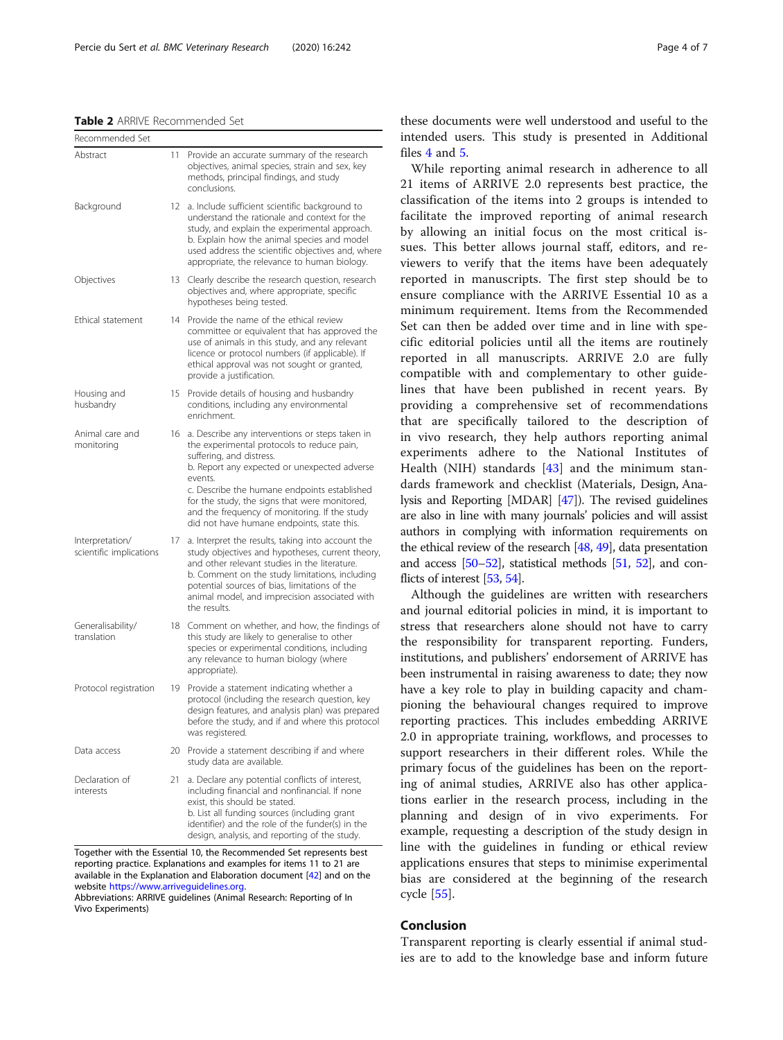#### <span id="page-3-0"></span>Table 2 ARRIVE Recommended Set

| Recommended Set                            |    |                                                                                                                                                                                                                                                                                                                                                                                      |
|--------------------------------------------|----|--------------------------------------------------------------------------------------------------------------------------------------------------------------------------------------------------------------------------------------------------------------------------------------------------------------------------------------------------------------------------------------|
| Abstract                                   | 11 | Provide an accurate summary of the research<br>objectives, animal species, strain and sex, key<br>methods, principal findings, and study<br>conclusions.                                                                                                                                                                                                                             |
| Background                                 | 12 | a. Include sufficient scientific background to<br>understand the rationale and context for the<br>study, and explain the experimental approach.<br>b. Explain how the animal species and model<br>used address the scientific objectives and, where<br>appropriate, the relevance to human biology.                                                                                  |
| Objectives                                 | 13 | Clearly describe the research question, research<br>objectives and, where appropriate, specific<br>hypotheses being tested.                                                                                                                                                                                                                                                          |
| Ethical statement                          | 14 | Provide the name of the ethical review<br>committee or equivalent that has approved the<br>use of animals in this study, and any relevant<br>licence or protocol numbers (if applicable). If<br>ethical approval was not sought or granted,<br>provide a justification.                                                                                                              |
| Housing and<br>husbandry                   | 15 | Provide details of housing and husbandry<br>conditions, including any environmental<br>enrichment.                                                                                                                                                                                                                                                                                   |
| Animal care and<br>monitoring              | 16 | a. Describe any interventions or steps taken in<br>the experimental protocols to reduce pain,<br>suffering, and distress.<br>b. Report any expected or unexpected adverse<br>events.<br>c. Describe the humane endpoints established<br>for the study, the signs that were monitored,<br>and the frequency of monitoring. If the study<br>did not have humane endpoints, state this. |
| Interpretation/<br>scientific implications | 17 | a. Interpret the results, taking into account the<br>study objectives and hypotheses, current theory,<br>and other relevant studies in the literature.<br>b. Comment on the study limitations, including<br>potential sources of bias, limitations of the<br>animal model, and imprecision associated with<br>the results.                                                           |
| Generalisability/<br>translation           | 18 | Comment on whether, and how, the findings of<br>this study are likely to generalise to other<br>species or experimental conditions, including<br>any relevance to human biology (where<br>appropriate).                                                                                                                                                                              |
| Protocol registration                      | 19 | Provide a statement indicating whether a<br>protocol (including the research question, key<br>design features, and analysis plan) was prepared<br>before the study, and if and where this protocol<br>was registered.                                                                                                                                                                |
| Data access                                | 20 | Provide a statement describing if and where<br>study data are available.                                                                                                                                                                                                                                                                                                             |
| Declaration of<br>interests                | 21 | a. Declare any potential conflicts of interest,<br>including financial and nonfinancial. If none<br>exist, this should be stated.<br>b. List all funding sources (including grant<br>identifier) and the role of the funder(s) in the<br>design, analysis, and reporting of the study.                                                                                               |

Together with the Essential 10, the Recommended Set represents best reporting practice. Explanations and examples for items 11 to 21 are available in the Explanation and Elaboration document [[42\]](#page-6-0) and on the website https://www.arriveguidelines.org

Abbreviations: ARRIVE guidelines (Animal Research: Reporting of In Vivo Experiments)

these documents were well understood and useful to the intended users. This study is presented in Additional files [4](#page-4-0) and [5.](#page-4-0)

While reporting animal research in adherence to all 21 items of ARRIVE 2.0 represents best practice, the classification of the items into 2 groups is intended to facilitate the improved reporting of animal research by allowing an initial focus on the most critical issues. This better allows journal staff, editors, and reviewers to verify that the items have been adequately reported in manuscripts. The first step should be to ensure compliance with the ARRIVE Essential 10 as a minimum requirement. Items from the Recommended Set can then be added over time and in line with specific editorial policies until all the items are routinely reported in all manuscripts. ARRIVE 2.0 are fully compatible with and complementary to other guidelines that have been published in recent years. By providing a comprehensive set of recommendations that are specifically tailored to the description of in vivo research, they help authors reporting animal experiments adhere to the National Institutes of Health (NIH) standards [[43\]](#page-6-0) and the minimum standards framework and checklist (Materials, Design, Analysis and Reporting [MDAR] [\[47\]](#page-6-0)). The revised guidelines are also in line with many journals' policies and will assist authors in complying with information requirements on the ethical review of the research [[48](#page-6-0), [49](#page-6-0)], data presentation and access [\[50](#page-6-0)–[52\]](#page-6-0), statistical methods [\[51,](#page-6-0) [52](#page-6-0)], and con-flicts of interest [\[53,](#page-6-0) [54\]](#page-6-0).

Although the guidelines are written with researchers and journal editorial policies in mind, it is important to stress that researchers alone should not have to carry the responsibility for transparent reporting. Funders, institutions, and publishers' endorsement of ARRIVE has been instrumental in raising awareness to date; they now have a key role to play in building capacity and championing the behavioural changes required to improve reporting practices. This includes embedding ARRIVE 2.0 in appropriate training, workflows, and processes to support researchers in their different roles. While the primary focus of the guidelines has been on the reporting of animal studies, ARRIVE also has other applications earlier in the research process, including in the planning and design of in vivo experiments. For example, requesting a description of the study design in line with the guidelines in funding or ethical review applications ensures that steps to minimise experimental bias are considered at the beginning of the research cycle [[55\]](#page-6-0).

# Conclusion

Transparent reporting is clearly essential if animal studies are to add to the knowledge base and inform future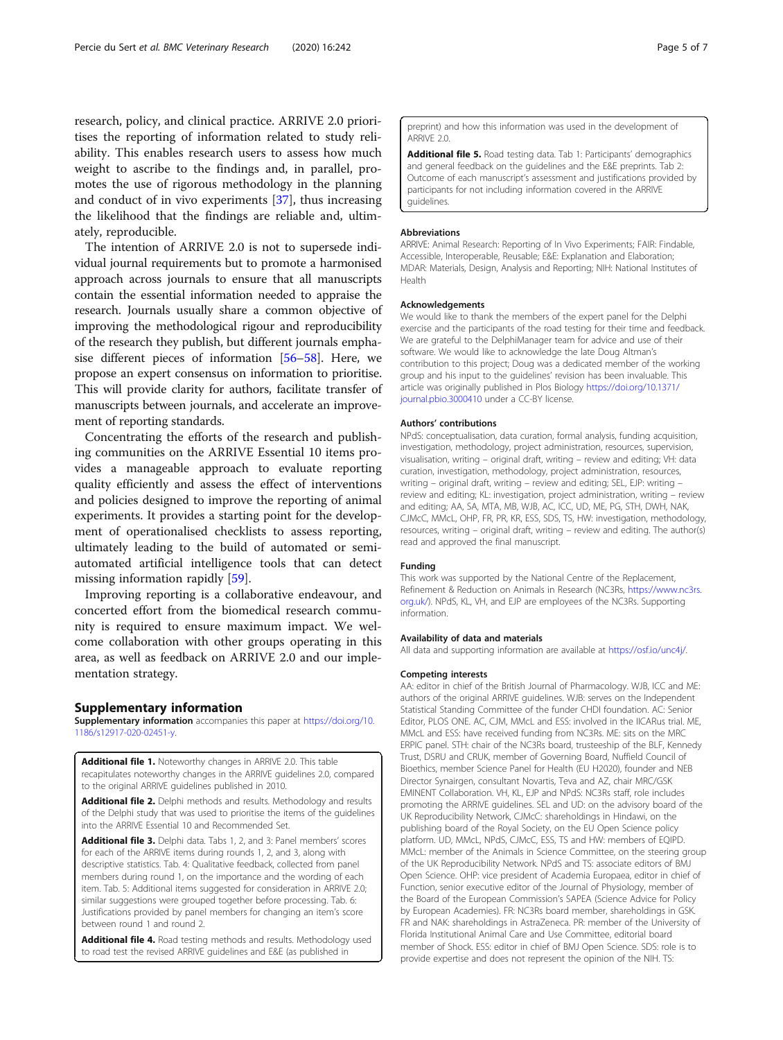<span id="page-4-0"></span>research, policy, and clinical practice. ARRIVE 2.0 prioritises the reporting of information related to study reliability. This enables research users to assess how much weight to ascribe to the findings and, in parallel, promotes the use of rigorous methodology in the planning and conduct of in vivo experiments [[37\]](#page-6-0), thus increasing the likelihood that the findings are reliable and, ultimately, reproducible.

The intention of ARRIVE 2.0 is not to supersede individual journal requirements but to promote a harmonised approach across journals to ensure that all manuscripts contain the essential information needed to appraise the research. Journals usually share a common objective of improving the methodological rigour and reproducibility of the research they publish, but different journals emphasise different pieces of information [[56](#page-6-0)–[58](#page-6-0)]. Here, we propose an expert consensus on information to prioritise. This will provide clarity for authors, facilitate transfer of manuscripts between journals, and accelerate an improvement of reporting standards.

Concentrating the efforts of the research and publishing communities on the ARRIVE Essential 10 items provides a manageable approach to evaluate reporting quality efficiently and assess the effect of interventions and policies designed to improve the reporting of animal experiments. It provides a starting point for the development of operationalised checklists to assess reporting, ultimately leading to the build of automated or semiautomated artificial intelligence tools that can detect missing information rapidly [\[59\]](#page-6-0).

Improving reporting is a collaborative endeavour, and concerted effort from the biomedical research community is required to ensure maximum impact. We welcome collaboration with other groups operating in this area, as well as feedback on ARRIVE 2.0 and our implementation strategy.

# Supplementary information

Supplementary information accompanies this paper at [https://doi.org/10.](https://doi.org/10.1186/s12917-020-02451-y) [1186/s12917-020-02451-y](https://doi.org/10.1186/s12917-020-02451-y).

Additional file 1. Noteworthy changes in ARRIVE 2.0. This table recapitulates noteworthy changes in the ARRIVE guidelines 2.0, compared to the original ARRIVE guidelines published in 2010.

Additional file 2. Delphi methods and results. Methodology and results of the Delphi study that was used to prioritise the items of the guidelines into the ARRIVE Essential 10 and Recommended Set.

Additional file 3. Delphi data. Tabs 1, 2, and 3: Panel members' scores for each of the ARRIVE items during rounds 1, 2, and 3, along with descriptive statistics. Tab. 4: Qualitative feedback, collected from panel members during round 1, on the importance and the wording of each item. Tab. 5: Additional items suggested for consideration in ARRIVE 2.0; similar suggestions were grouped together before processing. Tab. 6: Justifications provided by panel members for changing an item's score between round 1 and round 2.

Additional file 4. Road testing methods and results. Methodology used to road test the revised ARRIVE guidelines and E&E (as published in

preprint) and how this information was used in the development of ARRIVE 2.0.

Additional file 5. Road testing data. Tab 1: Participants' demographics and general feedback on the guidelines and the E&E preprints. Tab 2: Outcome of each manuscript's assessment and justifications provided by participants for not including information covered in the ARRIVE guidelines.

#### Abbreviations

ARRIVE: Animal Research: Reporting of In Vivo Experiments; FAIR: Findable, Accessible, Interoperable, Reusable; E&E: Explanation and Elaboration; MDAR: Materials, Design, Analysis and Reporting; NIH: National Institutes of Health

#### Acknowledgements

We would like to thank the members of the expert panel for the Delphi exercise and the participants of the road testing for their time and feedback. We are grateful to the DelphiManager team for advice and use of their software. We would like to acknowledge the late Doug Altman's contribution to this project; Doug was a dedicated member of the working group and his input to the guidelines' revision has been invaluable. This article was originally published in Plos Biology [https://doi.org/10.1371/](https://doi.org/10.1371/journal.pbio.3000410) [journal.pbio.3000410](https://doi.org/10.1371/journal.pbio.3000410) under a CC-BY license.

#### Authors' contributions

NPdS: conceptualisation, data curation, formal analysis, funding acquisition, investigation, methodology, project administration, resources, supervision, visualisation, writing – original draft, writing – review and editing; VH: data curation, investigation, methodology, project administration, resources, writing – original draft, writing – review and editing; SEL, EJP: writing – review and editing; KL: investigation, project administration, writing – review and editing; AA, SA, MTA, MB, WJB, AC, ICC, UD, ME, PG, STH, DWH, NAK, CJMcC, MMcL, OHP, FR, PR, KR, ESS, SDS, TS, HW: investigation, methodology, resources, writing – original draft, writing – review and editing. The author(s) read and approved the final manuscript.

#### Funding

This work was supported by the National Centre of the Replacement, Refinement & Reduction on Animals in Research (NC3Rs, [https://www.nc3rs.](https://www.nc3rs.org.uk/) [org.uk/\)](https://www.nc3rs.org.uk/). NPdS, KL, VH, and EJP are employees of the NC3Rs. Supporting information.

#### Availability of data and materials

All data and supporting information are available at [https://osf.io/unc4j/.](https://osf.io/unc4j/)

#### Competing interests

AA: editor in chief of the British Journal of Pharmacology. WJB, ICC and ME: authors of the original ARRIVE guidelines. WJB: serves on the Independent Statistical Standing Committee of the funder CHDI foundation. AC: Senior Editor, PLOS ONE. AC, CJM, MMcL and ESS: involved in the IICARus trial. ME, MMcL and ESS: have received funding from NC3Rs. ME: sits on the MRC ERPIC panel. STH: chair of the NC3Rs board, trusteeship of the BLF, Kennedy Trust, DSRU and CRUK, member of Governing Board, Nuffield Council of Bioethics, member Science Panel for Health (EU H2020), founder and NEB Director Synairgen, consultant Novartis, Teva and AZ, chair MRC/GSK EMINENT Collaboration. VH, KL, EJP and NPdS: NC3Rs staff, role includes promoting the ARRIVE guidelines. SEL and UD: on the advisory board of the UK Reproducibility Network, CJMcC: shareholdings in Hindawi, on the publishing board of the Royal Society, on the EU Open Science policy platform. UD, MMcL, NPdS, CJMcC, ESS, TS and HW: members of EQIPD. MMcL: member of the Animals in Science Committee, on the steering group of the UK Reproducibility Network. NPdS and TS: associate editors of BMJ Open Science. OHP: vice president of Academia Europaea, editor in chief of Function, senior executive editor of the Journal of Physiology, member of the Board of the European Commission's SAPEA (Science Advice for Policy by European Academies). FR: NC3Rs board member, shareholdings in GSK. FR and NAK: shareholdings in AstraZeneca. PR: member of the University of Florida Institutional Animal Care and Use Committee, editorial board member of Shock. ESS: editor in chief of BMJ Open Science. SDS: role is to provide expertise and does not represent the opinion of the NIH. TS: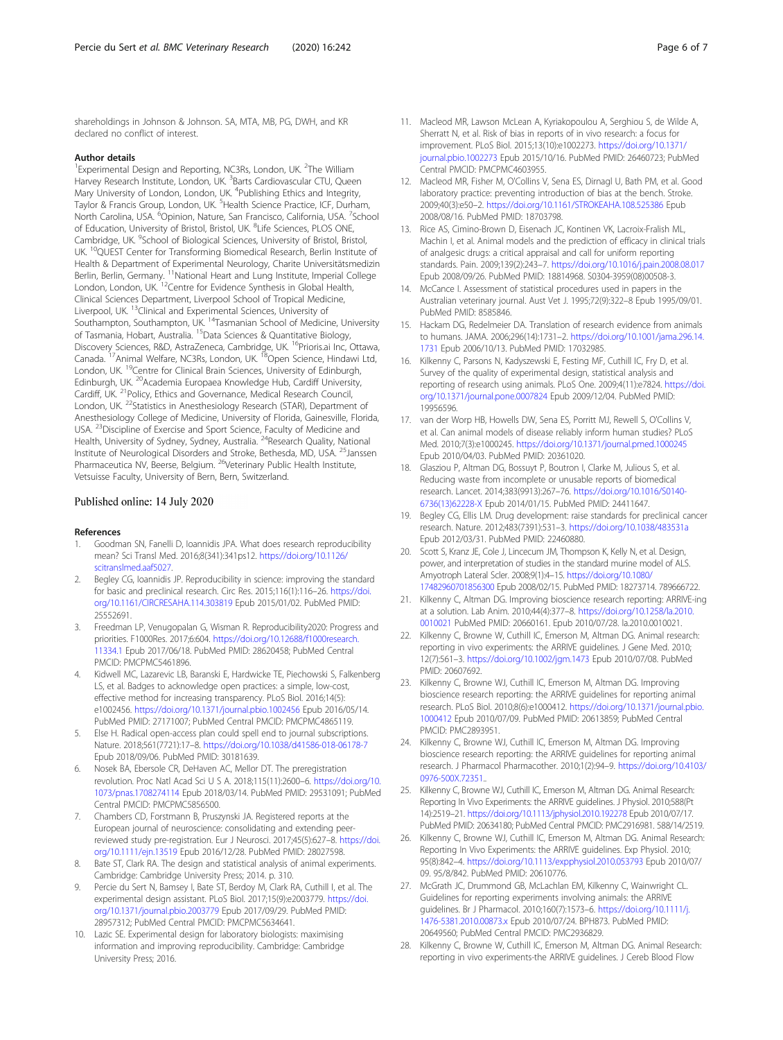<span id="page-5-0"></span>shareholdings in Johnson & Johnson. SA, MTA, MB, PG, DWH, and KR declared no conflict of interest.

### Author details

<sup>1</sup> Experimental Design and Reporting, NC3Rs, London, UK. <sup>2</sup>The William Harvey Research Institute, London, UK. <sup>3</sup>Barts Cardiovascular CTU, Queen Mary University of London, London, UK. <sup>4</sup>Publishing Ethics and Integrity, Taylor & Francis Group, London, UK. <sup>5</sup>Health Science Practice, ICF, Durham, North Carolina, USA. <sup>6</sup>Opinion, Nature, San Francisco, California, USA. <sup>7</sup>School of Education, University of Bristol, Bristol, UK. <sup>8</sup>Life Sciences, PLOS ONE, Cambridge, UK. <sup>9</sup>School of Biological Sciences, University of Bristol, Bristol, UK.<sup>10</sup>QUEST Center for Transforming Biomedical Research, Berlin Institute of Health & Department of Experimental Neurology, Charite Universitätsmedizin Berlin, Berlin, Germany. <sup>11</sup>National Heart and Lung Institute, Imperial College London, London, UK. <sup>12</sup>Centre for Evidence Synthesis in Global Health, Clinical Sciences Department, Liverpool School of Tropical Medicine, Liverpool, UK. 13Clinical and Experimental Sciences, University of Southampton, Southampton, UK. 14Tasmanian School of Medicine, University of Tasmania, Hobart, Australia. 15Data Sciences & Quantitative Biology, Discovery Sciences, R&D, AstraZeneca, Cambridge, UK. 16Prioris.ai Inc, Ottawa, Canada. 17Animal Welfare, NC3Rs, London, UK. 18Open Science, Hindawi Ltd, London, UK.<sup>19</sup>Centre for Clinical Brain Sciences, University of Edinburgh, Edinburgh, UK. <sup>20</sup>Academia Europaea Knowledge Hub, Cardiff University, Cardiff, UK. 21Policy, Ethics and Governance, Medical Research Council, London, UK.<sup>22</sup>Statistics in Anesthesiology Research (STAR), Department of Anesthesiology College of Medicine, University of Florida, Gainesville, Florida, USA. <sup>23</sup>Discipline of Exercise and Sport Science, Faculty of Medicine and Health, University of Sydney, Sydney, Australia.<sup>24</sup>Research Quality, National Institute of Neurological Disorders and Stroke, Bethesda, MD, USA. 25Janssen Pharmaceutica NV, Beerse, Belgium. <sup>26</sup>Veterinary Public Health Institute, Vetsuisse Faculty, University of Bern, Bern, Switzerland.

#### Published online: 14 July 2020

#### References

- 1. Goodman SN, Fanelli D, Ioannidis JPA. What does research reproducibility mean? Sci Transl Med. 2016;8(341):341ps12. [https://doi.org/10.1126/](https://doi.org/10.1126/scitranslmed.aaf5027) [scitranslmed.aaf5027](https://doi.org/10.1126/scitranslmed.aaf5027).
- 2. Begley CG, Ioannidis JP. Reproducibility in science: improving the standard for basic and preclinical research. Circ Res. 2015;116(1):116–26. [https://doi.](https://doi.org/10.1161/CIRCRESAHA.114.303819) [org/10.1161/CIRCRESAHA.114.303819](https://doi.org/10.1161/CIRCRESAHA.114.303819) Epub 2015/01/02. PubMed PMID: 25552691.
- 3. Freedman LP, Venugopalan G, Wisman R. Reproducibility2020: Progress and priorities. F1000Res. 2017;6:604. [https://doi.org/10.12688/f1000research.](https://doi.org/10.12688/f1000research.11334.1) [11334.1](https://doi.org/10.12688/f1000research.11334.1) Epub 2017/06/18. PubMed PMID: 28620458; PubMed Central PMCID: PMCPMC5461896.
- 4. Kidwell MC, Lazarevic LB, Baranski E, Hardwicke TE, Piechowski S, Falkenberg LS, et al. Badges to acknowledge open practices: a simple, low-cost, effective method for increasing transparency. PLoS Biol. 2016;14(5): e1002456. <https://doi.org/10.1371/journal.pbio.1002456> Epub 2016/05/14. PubMed PMID: 27171007; PubMed Central PMCID: PMCPMC4865119.
- Else H. Radical open-access plan could spell end to journal subscriptions. Nature. 2018;561(7721):17–8. <https://doi.org/10.1038/d41586-018-06178-7> Epub 2018/09/06. PubMed PMID: 30181639.
- 6. Nosek BA, Ebersole CR, DeHaven AC, Mellor DT. The preregistration revolution. Proc Natl Acad Sci U S A. 2018;115(11):2600–6. [https://doi.org/10.](https://doi.org/10.1073/pnas.1708274114) [1073/pnas.1708274114](https://doi.org/10.1073/pnas.1708274114) Epub 2018/03/14. PubMed PMID: 29531091; PubMed Central PMCID: PMCPMC5856500.
- 7. Chambers CD, Forstmann B, Pruszynski JA. Registered reports at the European journal of neuroscience: consolidating and extending peerreviewed study pre-registration. Eur J Neurosci. 2017;45(5):627–8. [https://doi.](https://doi.org/10.1111/ejn.13519) [org/10.1111/ejn.13519](https://doi.org/10.1111/ejn.13519) Epub 2016/12/28. PubMed PMID: 28027598.
- 8. Bate ST, Clark RA. The design and statistical analysis of animal experiments. Cambridge: Cambridge University Press; 2014. p. 310.
- 9. Percie du Sert N, Bamsey I, Bate ST, Berdoy M, Clark RA, Cuthill I, et al. The experimental design assistant. PLoS Biol. 2017;15(9):e2003779. [https://doi.](https://doi.org/10.1371/journal.pbio.2003779) [org/10.1371/journal.pbio.2003779](https://doi.org/10.1371/journal.pbio.2003779) Epub 2017/09/29. PubMed PMID: 28957312; PubMed Central PMCID: PMCPMC5634641.
- 10. Lazic SE. Experimental design for laboratory biologists: maximising information and improving reproducibility. Cambridge: Cambridge University Press; 2016.
- 11. Macleod MR, Lawson McLean A, Kyriakopoulou A, Serghiou S, de Wilde A, Sherratt N, et al. Risk of bias in reports of in vivo research: a focus for improvement. PLoS Biol. 2015;13(10):e1002273. [https://doi.org/10.1371/](https://doi.org/10.1371/journal.pbio.1002273) [journal.pbio.1002273](https://doi.org/10.1371/journal.pbio.1002273) Epub 2015/10/16. PubMed PMID: 26460723; PubMed Central PMCID: PMCPMC4603955.
- 12. Macleod MR, Fisher M, O'Collins V, Sena ES, Dirnagl U, Bath PM, et al. Good laboratory practice: preventing introduction of bias at the bench. Stroke. 2009;40(3):e50–2. <https://doi.org/10.1161/STROKEAHA.108.525386> Epub 2008/08/16. PubMed PMID: 18703798.
- 13. Rice AS, Cimino-Brown D, Eisenach JC, Kontinen VK, Lacroix-Fralish ML, Machin I, et al. Animal models and the prediction of efficacy in clinical trials of analgesic drugs: a critical appraisal and call for uniform reporting standards. Pain. 2009;139(2):243–7. <https://doi.org/10.1016/j.pain.2008.08.017> Epub 2008/09/26. PubMed PMID: 18814968. S0304-3959(08)00508-3.
- 14. McCance I. Assessment of statistical procedures used in papers in the Australian veterinary journal. Aust Vet J. 1995;72(9):322–8 Epub 1995/09/01. PubMed PMID: 8585846.
- 15. Hackam DG, Redelmeier DA. Translation of research evidence from animals to humans. JAMA. 2006;296(14):1731–2. [https://doi.org/10.1001/jama.296.14.](https://doi.org/10.1001/jama.296.14.1731) [1731](https://doi.org/10.1001/jama.296.14.1731) Epub 2006/10/13. PubMed PMID: 17032985.
- 16. Kilkenny C, Parsons N, Kadyszewski E, Festing MF, Cuthill IC, Fry D, et al. Survey of the quality of experimental design, statistical analysis and reporting of research using animals. PLoS One. 2009;4(11):e7824. [https://doi.](https://doi.org/10.1371/journal.pone.0007824) [org/10.1371/journal.pone.0007824](https://doi.org/10.1371/journal.pone.0007824) Epub 2009/12/04. PubMed PMID: 19956596.
- 17. van der Worp HB, Howells DW, Sena ES, Porritt MJ, Rewell S, O'Collins V, et al. Can animal models of disease reliably inform human studies? PLoS Med. 2010;7(3):e1000245. <https://doi.org/10.1371/journal.pmed.1000245> Epub 2010/04/03. PubMed PMID: 20361020.
- 18. Glasziou P, Altman DG, Bossuyt P, Boutron I, Clarke M, Julious S, et al. Reducing waste from incomplete or unusable reports of biomedical research. Lancet. 2014;383(9913):267–76. [https://doi.org/10.1016/S0140-](https://doi.org/10.1016/S0140-6736(13)62228-X) [6736\(13\)62228-X](https://doi.org/10.1016/S0140-6736(13)62228-X) Epub 2014/01/15. PubMed PMID: 24411647.
- 19. Begley CG, Ellis LM. Drug development: raise standards for preclinical cancer research. Nature. 2012;483(7391):531–3. <https://doi.org/10.1038/483531a> Epub 2012/03/31. PubMed PMID: 22460880.
- 20. Scott S, Kranz JE, Cole J, Lincecum JM, Thompson K, Kelly N, et al. Design, power, and interpretation of studies in the standard murine model of ALS. Amyotroph Lateral Scler. 2008;9(1):4–15. [https://doi.org/10.1080/](https://doi.org/10.1080/17482960701856300) [17482960701856300](https://doi.org/10.1080/17482960701856300) Epub 2008/02/15. PubMed PMID: 18273714. 789666722.
- 21. Kilkenny C, Altman DG. Improving bioscience research reporting: ARRIVE-ing at a solution. Lab Anim. 2010;44(4):377–8. [https://doi.org/10.1258/la.2010.](https://doi.org/10.1258/la.2010.0010021) [0010021](https://doi.org/10.1258/la.2010.0010021) PubMed PMID: 20660161. Epub 2010/07/28. la.2010.0010021.
- 22. Kilkenny C, Browne W, Cuthill IC, Emerson M, Altman DG. Animal research: reporting in vivo experiments: the ARRIVE guidelines. J Gene Med. 2010; 12(7):561–3. <https://doi.org/10.1002/jgm.1473> Epub 2010/07/08. PubMed PMID: 20607692.
- 23. Kilkenny C, Browne WJ, Cuthill IC, Emerson M, Altman DG. Improving bioscience research reporting: the ARRIVE guidelines for reporting animal research. PLoS Biol. 2010;8(6):e1000412. [https://doi.org/10.1371/journal.pbio.](https://doi.org/10.1371/journal.pbio.1000412) [1000412](https://doi.org/10.1371/journal.pbio.1000412) Epub 2010/07/09. PubMed PMID: 20613859; PubMed Central PMCID: PMC2893951.
- 24. Kilkenny C, Browne WJ, Cuthill IC, Emerson M, Altman DG. Improving bioscience research reporting: the ARRIVE guidelines for reporting animal research. J Pharmacol Pharmacother. 2010;1(2):94–9. [https://doi.org/10.4103/](https://doi.org/10.4103/0976-500X.72351) [0976-500X.72351.](https://doi.org/10.4103/0976-500X.72351).
- 25. Kilkenny C, Browne WJ, Cuthill IC, Emerson M, Altman DG. Animal Research: Reporting In Vivo Experiments: the ARRIVE guidelines. J Physiol. 2010;588(Pt 14):2519–21. <https://doi.org/10.1113/jphysiol.2010.192278> Epub 2010/07/17. PubMed PMID: 20634180; PubMed Central PMCID: PMC2916981. 588/14/2519.
- 26. Kilkenny C, Browne WJ, Cuthill IC, Emerson M, Altman DG. Animal Research: Reporting In Vivo Experiments: the ARRIVE guidelines. Exp Physiol. 2010; 95(8):842–4. <https://doi.org/10.1113/expphysiol.2010.053793> Epub 2010/07/ 09. 95/8/842. PubMed PMID: 20610776.
- 27. McGrath JC, Drummond GB, McLachlan EM, Kilkenny C, Wainwright CL. Guidelines for reporting experiments involving animals: the ARRIVE guidelines. Br J Pharmacol. 2010;160(7):1573–6. [https://doi.org/10.1111/j.](https://doi.org/10.1111/j.1476-5381.2010.00873.x) [1476-5381.2010.00873.x](https://doi.org/10.1111/j.1476-5381.2010.00873.x) Epub 2010/07/24. BPH873. PubMed PMID: 20649560; PubMed Central PMCID: PMC2936829.
- 28. Kilkenny C, Browne W, Cuthill IC, Emerson M, Altman DG. Animal Research: reporting in vivo experiments-the ARRIVE guidelines. J Cereb Blood Flow